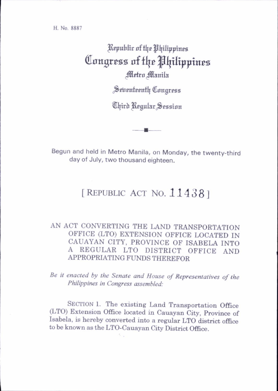H. No. 8887

## ^Rjpublit of ^Ijtltppines Congress of the Philippines Metro Manila

Seitenteenth Congress

Third Regular Session

Begun and held in Metro Manila, on Monday, the twenty-third day of July, two thousand eighteen.

## [REPUBLIC ACT NO. 114381

## AN ACT CONVERTING THE LAND TRANSPORTATION OFFICE (LTO) EXTENSION OFFICE LOCATED IN CAUAYAN CITY, PROVINCE OF ISABELA INTO A REGULAR LTO DISTRICT OFFICE AND APPROPRIATING FUNDS THEREFOR

Be it enacted by the Senate and House of Representatives of the Philippines in Congress assembled:

SECTION 1. The existing Land Transportation Office (LTO) Extension Office located in Cauayan City, Province of Isabela, is hereby converted into a regular LTO district office to be known as the LTO-Cauayan City District Office.